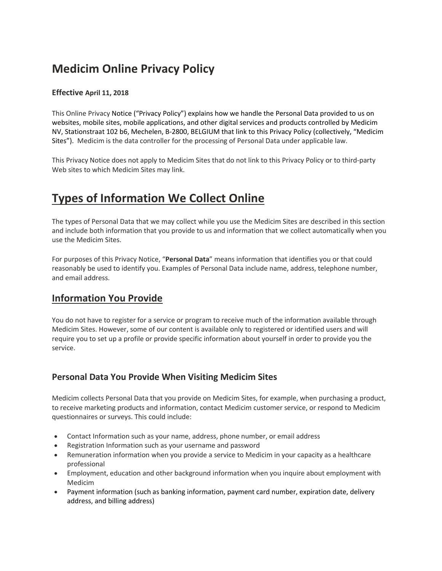# **Medicim Online Privacy Policy**

#### **Effective April 11, 2018**

This Online Privacy Notice ("Privacy Policy") explains how we handle the Personal Data provided to us on websites, mobile sites, mobile applications, and other digital services and products controlled by Medicim NV, Stationstraat 102 b6, Mechelen, B-2800, BELGIUM that link to this Privacy Policy (collectively, "Medicim Sites"). Medicim is the data controller for the processing of Personal Data under applicable law.

This Privacy Notice does not apply to Medicim Sites that do not link to this Privacy Policy or to third-party Web sites to which Medicim Sites may link.

## **Types of Information We Collect Online**

The types of Personal Data that we may collect while you use the Medicim Sites are described in this section and include both information that you provide to us and information that we collect automatically when you use the Medicim Sites.

For purposes of this Privacy Notice, "**Personal Data**" means information that identifies you or that could reasonably be used to identify you. Examples of Personal Data include name, address, telephone number, and email address.

### **Information You Provide**

You do not have to register for a service or program to receive much of the information available through Medicim Sites. However, some of our content is available only to registered or identified users and will require you to set up a profile or provide specific information about yourself in order to provide you the service.

#### **Personal Data You Provide When Visiting Medicim Sites**

Medicim collects Personal Data that you provide on Medicim Sites, for example, when purchasing a product, to receive marketing products and information, contact Medicim customer service, or respond to Medicim questionnaires or surveys. This could include:

- Contact Information such as your name, address, phone number, or email address
- Registration Information such as your username and password
- Remuneration information when you provide a service to Medicim in your capacity as a healthcare professional
- Employment, education and other background information when you inquire about employment with Medicim
- Payment information (such as banking information, payment card number, expiration date, delivery address, and billing address)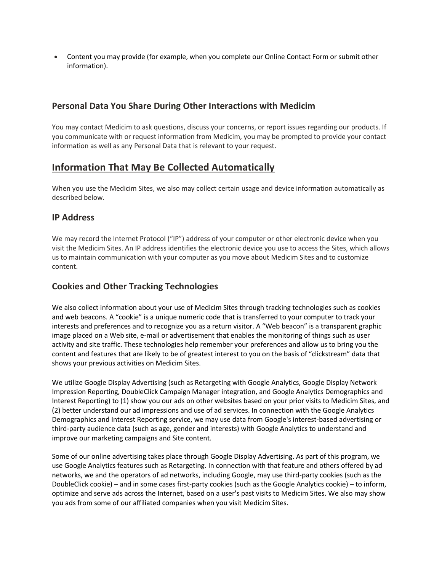Content you may provide (for example, when you complete our Online Contact Form or submit other information).

#### **Personal Data You Share During Other Interactions with Medicim**

You may contact Medicim to ask questions, discuss your concerns, or report issues regarding our products. If you communicate with or request information from Medicim, you may be prompted to provide your contact information as well as any Personal Data that is relevant to your request.

### **Information That May Be Collected Automatically**

When you use the Medicim Sites, we also may collect certain usage and device information automatically as described below.

#### **IP Address**

We may record the Internet Protocol ("IP") address of your computer or other electronic device when you visit the Medicim Sites. An IP address identifies the electronic device you use to access the Sites, which allows us to maintain communication with your computer as you move about Medicim Sites and to customize content.

#### **Cookies and Other Tracking Technologies**

We also collect information about your use of Medicim Sites through tracking technologies such as cookies and web beacons. A "cookie" is a unique numeric code that is transferred to your computer to track your interests and preferences and to recognize you as a return visitor. A "Web beacon" is a transparent graphic image placed on a Web site, e-mail or advertisement that enables the monitoring of things such as user activity and site traffic. These technologies help remember your preferences and allow us to bring you the content and features that are likely to be of greatest interest to you on the basis of "clickstream" data that shows your previous activities on Medicim Sites.

We utilize Google Display Advertising (such as Retargeting with Google Analytics, Google Display Network Impression Reporting, DoubleClick Campaign Manager integration, and Google Analytics Demographics and Interest Reporting) to (1) show you our ads on other websites based on your prior visits to Medicim Sites, and (2) better understand our ad impressions and use of ad services. In connection with the Google Analytics Demographics and Interest Reporting service, we may use data from Google's interest-based advertising or third-party audience data (such as age, gender and interests) with Google Analytics to understand and improve our marketing campaigns and Site content.

Some of our online advertising takes place through Google Display Advertising. As part of this program, we use Google Analytics features such as Retargeting. In connection with that feature and others offered by ad networks, we and the operators of ad networks, including Google, may use third-party cookies (such as the DoubleClick cookie) – and in some cases first-party cookies (such as the Google Analytics cookie) – to inform, optimize and serve ads across the Internet, based on a user's past visits to Medicim Sites. We also may show you ads from some of our affiliated companies when you visit Medicim Sites.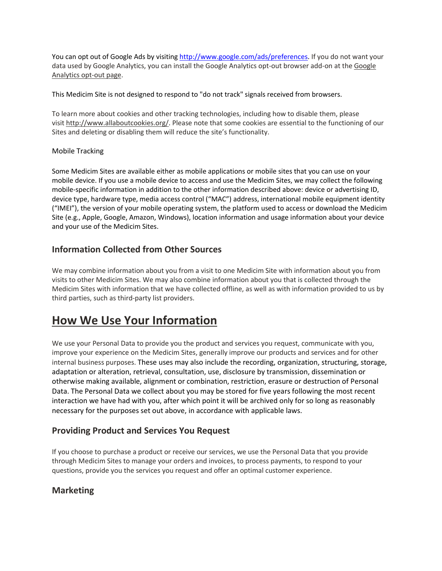You can opt out of Google Ads by visitin[g http://www.google.com/ads/preferences.](http://www.google.com/ads/preferences) If you do not want your data used by Google Analytics, you can install the Google Analytics opt-out browser add-on at the [Google](http://tools.google.com/dlpage/gaoptout)  [Analytics opt-out page.](http://tools.google.com/dlpage/gaoptout)

This Medicim Site is not designed to respond to "do not track" signals received from browsers.

To learn more about cookies and other tracking technologies, including how to disable them, please visit [http://www.allaboutcookies.org/.](http://www.allaboutcookies.org/) Please note that some cookies are essential to the functioning of our Sites and deleting or disabling them will reduce the site's functionality.

#### Mobile Tracking

Some Medicim Sites are available either as mobile applications or mobile sites that you can use on your mobile device. If you use a mobile device to access and use the Medicim Sites, we may collect the following mobile-specific information in addition to the other information described above: device or advertising ID, device type, hardware type, media access control ("MAC") address, international mobile equipment identity ("IMEI"), the version of your mobile operating system, the platform used to access or download the Medicim Site (e.g., Apple, Google, Amazon, Windows), location information and usage information about your device and your use of the Medicim Sites.

#### **Information Collected from Other Sources**

We may combine information about you from a visit to one Medicim Site with information about you from visits to other Medicim Sites. We may also combine information about you that is collected through the Medicim Sites with information that we have collected offline, as well as with information provided to us by third parties, such as third-party list providers.

## **How We Use Your Information**

We use your Personal Data to provide you the product and services you request, communicate with you, improve your experience on the Medicim Sites, generally improve our products and services and for other internal business purposes. These uses may also include the recording, organization, structuring, storage, adaptation or alteration, retrieval, consultation, use, disclosure by transmission, dissemination or otherwise making available, alignment or combination, restriction, erasure or destruction of Personal Data. The Personal Data we collect about you may be stored for five years following the most recent interaction we have had with you, after which point it will be archived only for so long as reasonably necessary for the purposes set out above, in accordance with applicable laws.

#### **Providing Product and Services You Request**

If you choose to purchase a product or receive our services, we use the Personal Data that you provide through Medicim Sites to manage your orders and invoices, to process payments, to respond to your questions, provide you the services you request and offer an optimal customer experience.

#### **Marketing**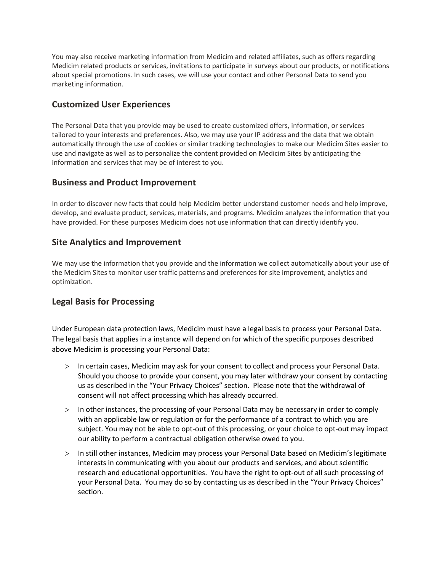You may also receive marketing information from Medicim and related affiliates, such as offers regarding Medicim related products or services, invitations to participate in surveys about our products, or notifications about special promotions. In such cases, we will use your contact and other Personal Data to send you marketing information.

#### **Customized User Experiences**

The Personal Data that you provide may be used to create customized offers, information, or services tailored to your interests and preferences. Also, we may use your IP address and the data that we obtain automatically through the use of cookies or similar tracking technologies to make our Medicim Sites easier to use and navigate as well as to personalize the content provided on Medicim Sites by anticipating the information and services that may be of interest to you.

#### **Business and Product Improvement**

In order to discover new facts that could help Medicim better understand customer needs and help improve, develop, and evaluate product, services, materials, and programs. Medicim analyzes the information that you have provided. For these purposes Medicim does not use information that can directly identify you.

#### **Site Analytics and Improvement**

We may use the information that you provide and the information we collect automatically about your use of the Medicim Sites to monitor user traffic patterns and preferences for site improvement, analytics and optimization.

#### **Legal Basis for Processing**

Under European data protection laws, Medicim must have a legal basis to process your Personal Data. The legal basis that applies in a instance will depend on for which of the specific purposes described above Medicim is processing your Personal Data:

- > In certain cases, Medicim may ask for your consent to collect and process your Personal Data. Should you choose to provide your consent, you may later withdraw your consent by contacting us as described in the "Your Privacy Choices" section. Please note that the withdrawal of consent will not affect processing which has already occurred.
- > In other instances, the processing of your Personal Data may be necessary in order to comply with an applicable law or regulation or for the performance of a contract to which you are subject. You may not be able to opt-out of this processing, or your choice to opt-out may impact our ability to perform a contractual obligation otherwise owed to you.
- > In still other instances, Medicim may process your Personal Data based on Medicim's legitimate interests in communicating with you about our products and services, and about scientific research and educational opportunities. You have the right to opt-out of all such processing of your Personal Data. You may do so by contacting us as described in the "Your Privacy Choices" section.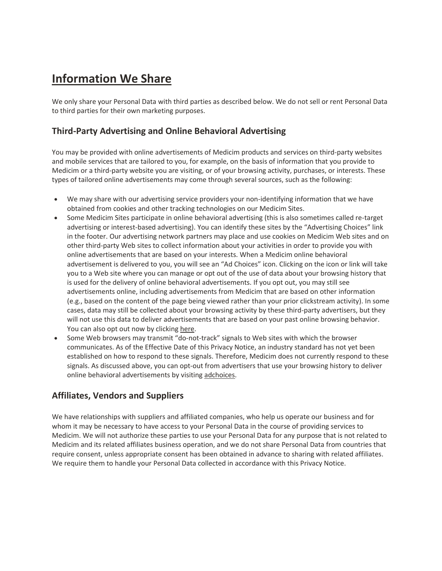# **Information We Share**

We only share your Personal Data with third parties as described below. We do not sell or rent Personal Data to third parties for their own marketing purposes.

#### **Third-Party Advertising and Online Behavioral Advertising**

You may be provided with online advertisements of Medicim products and services on third-party websites and mobile services that are tailored to you, for example, on the basis of information that you provide to Medicim or a third-party website you are visiting, or of your browsing activity, purchases, or interests. These types of tailored online advertisements may come through several sources, such as the following:

- We may share with our advertising service providers your non-identifying information that we have obtained from cookies and other tracking technologies on our Medicim Sites.
- Some Medicim Sites participate in online behavioral advertising (this is also sometimes called re-target advertising or interest-based advertising). You can identify these sites by the "Advertising Choices" link in the footer. Our advertising network partners may place and use cookies on Medicim Web sites and on other third-party Web sites to collect information about your activities in order to provide you with online advertisements that are based on your interests. When a Medicim online behavioral advertisement is delivered to you, you will see an "Ad Choices" icon. Clicking on the icon or link will take you to a Web site where you can manage or opt out of the use of data about your browsing history that is used for the delivery of online behavioral advertisements. If you opt out, you may still see advertisements online, including advertisements from Medicim that are based on other information (e.g., based on the content of the page being viewed rather than your prior clickstream activity). In some cases, data may still be collected about your browsing activity by these third-party advertisers, but they will not use this data to deliver advertisements that are based on your past online browsing behavior. You can also opt out now by clicking [here.](https://info.evidon.com/pub_info/6678?v=1&nt=0&nw=true)
- Some Web browsers may transmit "do-not-track" signals to Web sites with which the browser communicates. As of the Effective Date of this Privacy Notice, an industry standard has not yet been established on how to respond to these signals. Therefore, Medicim does not currently respond to these signals. As discussed above, you can opt-out from advertisers that use your browsing history to deliver online behavioral advertisements by visiting [adchoices.](https://info.evidon.com/pub_info/6678?v=1&nt=0&nw=true)

#### **Affiliates, Vendors and Suppliers**

We have relationships with suppliers and affiliated companies, who help us operate our business and for whom it may be necessary to have access to your Personal Data in the course of providing services to Medicim. We will not authorize these parties to use your Personal Data for any purpose that is not related to Medicim and its related affiliates business operation, and we do not share Personal Data from countries that require consent, unless appropriate consent has been obtained in advance to sharing with related affiliates. We require them to handle your Personal Data collected in accordance with this Privacy Notice.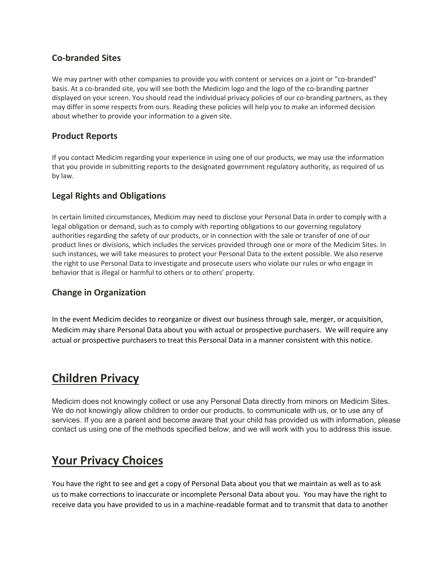#### **Co-branded Sites**

We may partner with other companies to provide you with content or services on a joint or "co-branded" basis. At a co-branded site, you will see both the Medicim logo and the logo of the co-branding partner displayed on your screen. You should read the individual privacy policies of our co-branding partners, as they may differ in some respects from ours. Reading these policies will help you to make an informed decision about whether to provide your information to a given site.

#### **Product Reports**

If you contact Medicim regarding your experience in using one of our products, we may use the information that you provide in submitting reports to the designated government regulatory authority, as required of us by law.

#### **Legal Rights and Obligations**

In certain limited circumstances, Medicim may need to disclose your Personal Data in order to comply with a legal obligation or demand, such as to comply with reporting obligations to our governing regulatory authorities regarding the safety of our products, or in connection with the sale or transfer of one of our product lines or divisions, which includes the services provided through one or more of the Medicim Sites. In such instances, we will take measures to protect your Personal Data to the extent possible. We also reserve the right to use Personal Data to investigate and prosecute users who violate our rules or who engage in behavior that is illegal or harmful to others or to others' property.

#### **Change in Organization**

In the event Medicim decides to reorganize or divest our business through sale, merger, or acquisition, Medicim may share Personal Data about you with actual or prospective purchasers. We will require any actual or prospective purchasers to treat this Personal Data in a manner consistent with this notice.

### **Children Privacy**

Medicim does not knowingly collect or use any Personal Data directly from minors on Medicim Sites. We do not knowingly allow children to order our products, to communicate with us, or to use any of services. If you are a parent and become aware that your child has provided us with information, please contact us using one of the methods specified below, and we will work with you to address this issue.

## **Your Privacy Choices**

You have the right to see and get a copy of Personal Data about you that we maintain as well as to ask us to make corrections to inaccurate or incomplete Personal Data about you. You may have the right to receive data you have provided to us in a machine-readable format and to transmit that data to another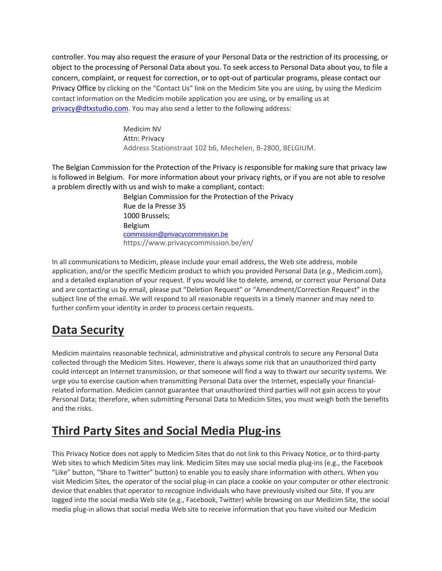controller. You may also request the erasure of your Personal Data or the restriction of its processing, or object to the processing of Personal Data about you. To seek access to Personal Data about you, to file a concern, complaint, or request for correction, or to opt-out of particular programs, please contact our Privacy Office by clicking on the "Contact Us" link on the Medicim Site you are using, by using the Medicim contact information on the Medicim mobile application you are using, or by emailing us at [privacy@dtxstudio.com](mailto:dataprivacy@beckman.com). You may also send a letter to the following address:

> Medicim NV Attn: Privacy Address Stationstraat 102 b6, Mechelen, B-2800, BELGIUM.

The Belgian Commission for the Protection of the Privacy is responsible for making sure that privacy law is followed in Belgium. For more information about your privacy rights, or if you are not able to resolve a problem directly with us and wish to make a compliant, contact:

Belgian Commission for the Protection of the Privacy Rue de la Presse 35 1000 Brussels; Belgium [commission@privacycommission.be](mailto:commission@privacycommission.be) https://www.privacycommission.be/en/

In all communications to Medicim, please include your email address, the Web site address, mobile application, and/or the specific Medicim product to which you provided Personal Data (*e.g.*, Medicim.com), and a detailed explanation of your request. If you would like to delete, amend, or correct your Personal Data and are contacting us by email, please put "Deletion Request" or "Amendment/Correction Request" in the subject line of the email. We will respond to all reasonable requests in a timely manner and may need to further confirm your identity in order to process certain requests.

# **Data Security**

Medicim maintains reasonable technical, administrative and physical controls to secure any Personal Data collected through the Medicim Sites. However, there is always some risk that an unauthorized third party could intercept an Internet transmission, or that someone will find a way to thwart our security systems. We urge you to exercise caution when transmitting Personal Data over the Internet, especially your financialrelated information. Medicim cannot guarantee that unauthorized third parties will not gain access to your Personal Data; therefore, when submitting Personal Data to Medicim Sites, you must weigh both the benefits and the risks.

# **Third Party Sites and Social Media Plug-ins**

This Privacy Notice does not apply to Medicim Sites that do not link to this Privacy Notice, or to third-party Web sites to which Medicim Sites may link. Medicim Sites may use social media plug-ins (e.g., the Facebook "Like" button, "Share to Twitter" button) to enable you to easily share information with others. When you visit Medicim Sites, the operator of the social plug-in can place a cookie on your computer or other electronic device that enables that operator to recognize individuals who have previously visited our Site. If you are logged into the social media Web site (e.g., Facebook, Twitter) while browsing on our Medicim Site, the social media plug-in allows that social media Web site to receive information that you have visited our Medicim